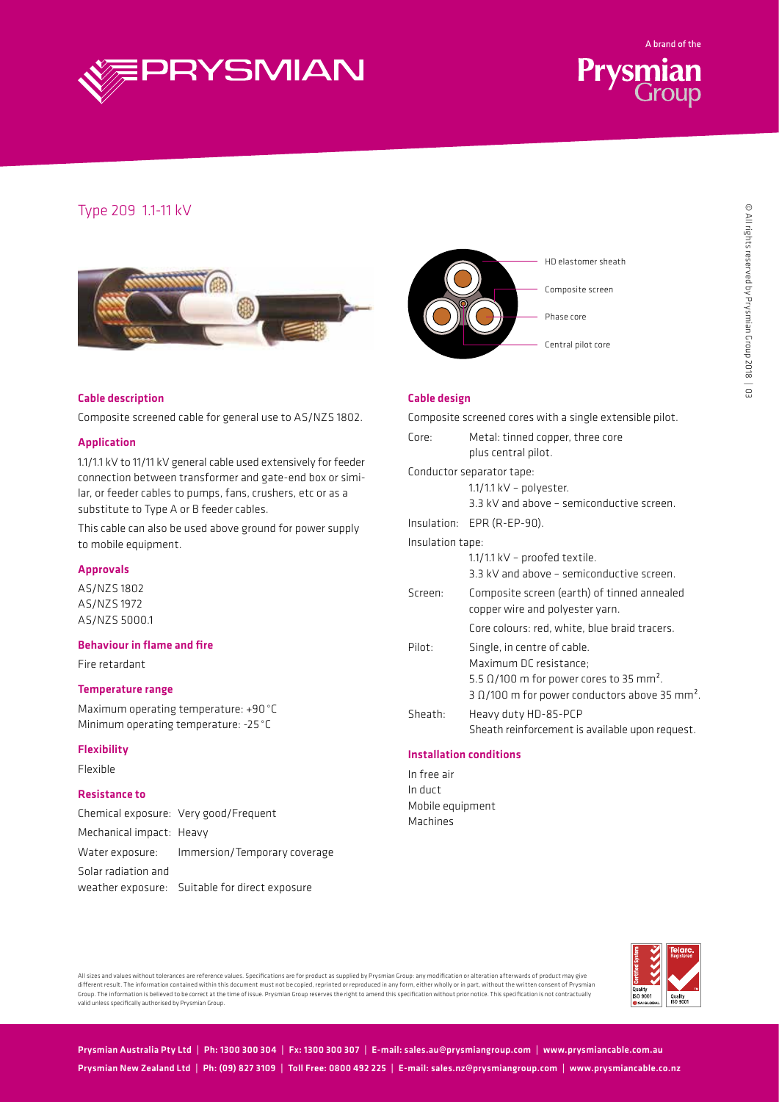



# Type 209 1.1-11 kV





### Cable description

Composite screened cable for general use to AS/NZS 1802.

#### Application

1.1/1.1 kV to 11/11 kV general cable used extensively for feeder connection between transformer and gate-end box or similar, or feeder cables to pumps, fans, crushers, etc or as a substitute to Type A or B feeder cables.

This cable can also be used above ground for power supply to mobile equipment.

#### Approvals

AS/NZS 1802 AS/NZS 1972 AS/NZS 5000.1

### Behaviour in flame and fire

Fire retardant

#### Temperature range

Maximum operating temperature: +90°C Minimum operating temperature: -25 °C

#### Flexibility

Flexible

## Resistance to

Chemical exposure: Very good/Frequent Mechanical impact: Heavy Water exposure: Immersion/Temporary coverage Solar radiation and weather exposure: Suitable for direct exposure

#### Cable design

Composite screened cores with a single extensible pilot.

| Core:            | Metal: tinned copper, three core<br>plus central pilot.           |  |  |  |  |  |  |  |  |
|------------------|-------------------------------------------------------------------|--|--|--|--|--|--|--|--|
|                  | Conductor separator tape:                                         |  |  |  |  |  |  |  |  |
|                  | $1.1/1.1$ kV - polyester.                                         |  |  |  |  |  |  |  |  |
|                  | 3.3 kV and above - semiconductive screen.                         |  |  |  |  |  |  |  |  |
|                  | Insulation: EPR (R-EP-90).                                        |  |  |  |  |  |  |  |  |
| Insulation tape: |                                                                   |  |  |  |  |  |  |  |  |
|                  | $1.1/1.1$ kV – proofed textile.                                   |  |  |  |  |  |  |  |  |
|                  | 3.3 kV and above - semiconductive screen.                         |  |  |  |  |  |  |  |  |
| Screen:          | Composite screen (earth) of tinned annealed                       |  |  |  |  |  |  |  |  |
|                  | copper wire and polyester yarn.                                   |  |  |  |  |  |  |  |  |
|                  | Core colours: red, white, blue braid tracers.                     |  |  |  |  |  |  |  |  |
| Pilot:           | Single, in centre of cable.                                       |  |  |  |  |  |  |  |  |
|                  | Maximum DC resistance:                                            |  |  |  |  |  |  |  |  |
|                  | 5.5 $\Omega$ /100 m for power cores to 35 mm <sup>2</sup> .       |  |  |  |  |  |  |  |  |
|                  | 3 $\Omega$ /100 m for power conductors above 35 mm <sup>2</sup> . |  |  |  |  |  |  |  |  |
| Sheath:          | Heavy duty HD-85-PCP                                              |  |  |  |  |  |  |  |  |
|                  | Sheath reinforcement is available upon request.                   |  |  |  |  |  |  |  |  |
|                  |                                                                   |  |  |  |  |  |  |  |  |

# Installation conditions

In free air In duct Mobile equipment Machines



All sizes and values without tolerances are reference values. Specifications are for product as supplied by Prysmian Group: any modification or alteration afterwards of product may give<br>different result. The information co Group. The information is believed to be correct at the time of issue. Prysmian Group reserves the right to amend this specification without prior notice. This specification is not contractually valid unless specifically authorised by Prysmian Group.